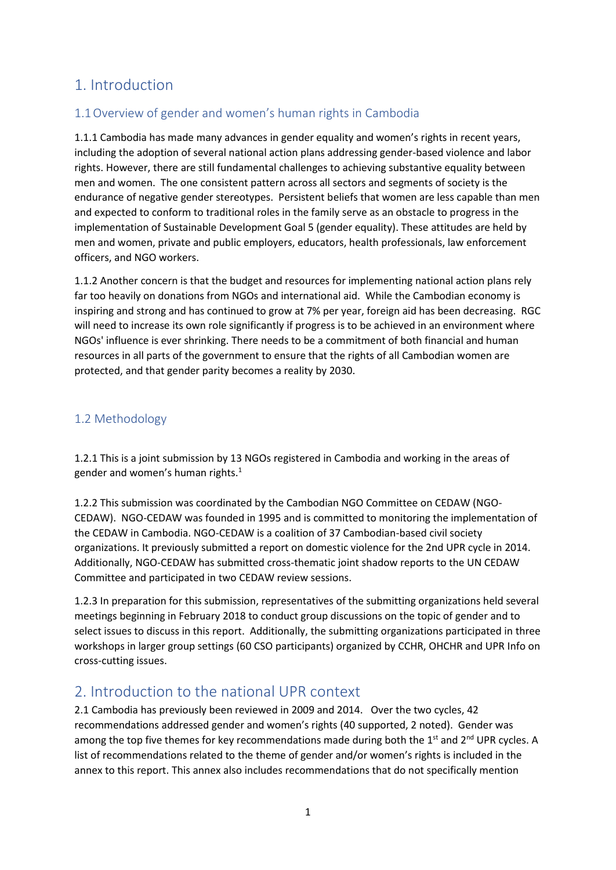# 1. Introduction

## 1.1Overview of gender and women's human rights in Cambodia

1.1.1 Cambodia has made many advances in gender equality and women's rights in recent years, including the adoption of several national action plans addressing gender-based violence and labor rights. However, there are still fundamental challenges to achieving substantive equality between men and women. The one consistent pattern across all sectors and segments of society is the endurance of negative gender stereotypes. Persistent beliefs that women are less capable than men and expected to conform to traditional roles in the family serve as an obstacle to progress in the implementation of Sustainable Development Goal 5 (gender equality). These attitudes are held by men and women, private and public employers, educators, health professionals, law enforcement officers, and NGO workers.

1.1.2 Another concern is that the budget and resources for implementing national action plans rely far too heavily on donations from NGOs and international aid. While the Cambodian economy is inspiring and strong and has continued to grow at 7% per year, foreign aid has been decreasing. RGC will need to increase its own role significantly if progress is to be achieved in an environment where NGOs' influence is ever shrinking. There needs to be a commitment of both financial and human resources in all parts of the government to ensure that the rights of all Cambodian women are protected, and that gender parity becomes a reality by 2030.

### 1.2 Methodology

1.2.1 This is a joint submission by 13 NGOs registered in Cambodia and working in the areas of gender and women's human rights.<sup>1</sup>

1.2.2 This submission was coordinated by the Cambodian NGO Committee on CEDAW (NGO-CEDAW). NGO-CEDAW was founded in 1995 and is committed to monitoring the implementation of the CEDAW in Cambodia. NGO-CEDAW is a coalition of 37 Cambodian-based civil society organizations. It previously submitted a report on domestic violence for the 2nd UPR cycle in 2014. Additionally, NGO-CEDAW has submitted cross-thematic joint shadow reports to the UN CEDAW Committee and participated in two CEDAW review sessions.

1.2.3 In preparation for this submission, representatives of the submitting organizations held several meetings beginning in February 2018 to conduct group discussions on the topic of gender and to select issues to discuss in this report. Additionally, the submitting organizations participated in three workshops in larger group settings (60 CSO participants) organized by CCHR, OHCHR and UPR Info on cross-cutting issues.

## 2. Introduction to the national UPR context

2.1 Cambodia has previously been reviewed in 2009 and 2014. Over the two cycles, 42 recommendations addressed gender and women's rights (40 supported, 2 noted). Gender was among the top five themes for key recommendations made during both the 1<sup>st</sup> and 2<sup>nd</sup> UPR cycles. A list of recommendations related to the theme of gender and/or women's rights is included in the annex to this report. This annex also includes recommendations that do not specifically mention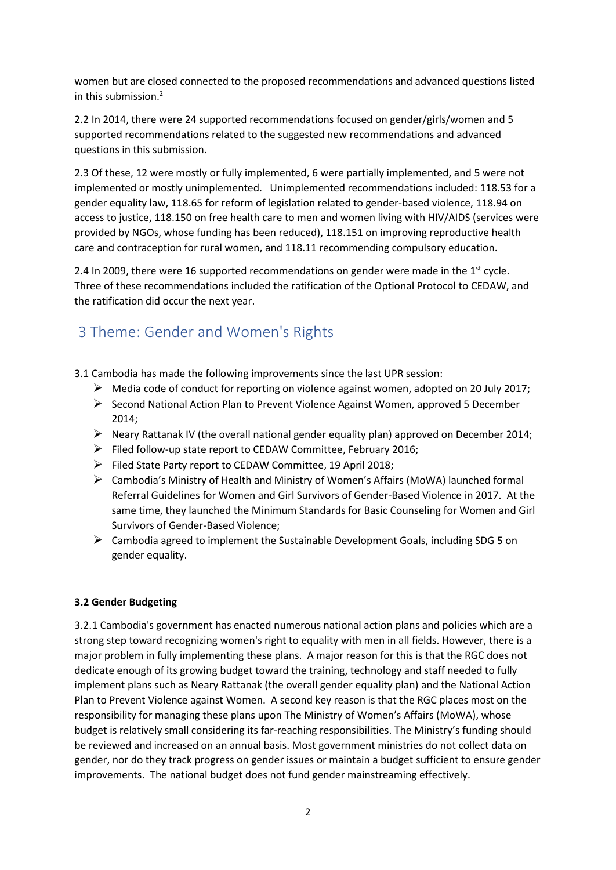women but are closed connected to the proposed recommendations and advanced questions listed in this submission.<sup>2</sup>

2.2 In 2014, there were 24 supported recommendations focused on gender/girls/women and 5 supported recommendations related to the suggested new recommendations and advanced questions in this submission.

2.3 Of these, 12 were mostly or fully implemented, 6 were partially implemented, and 5 were not implemented or mostly unimplemented. Unimplemented recommendations included: 118.53 for a gender equality law, 118.65 for reform of legislation related to gender-based violence, 118.94 on access to justice, 118.150 on free health care to men and women living with HIV/AIDS (services were provided by NGOs, whose funding has been reduced), 118.151 on improving reproductive health care and contraception for rural women, and 118.11 recommending compulsory education.

2.4 In 2009, there were 16 supported recommendations on gender were made in the  $1<sup>st</sup>$  cycle. Three of these recommendations included the ratification of the Optional Protocol to CEDAW, and the ratification did occur the next year.

# 3 Theme: Gender and Women's Rights

- 3.1 Cambodia has made the following improvements since the last UPR session:
	- $\triangleright$  Media code of conduct for reporting on violence against women, adopted on 20 July 2017;
	- $\triangleright$  Second National Action Plan to Prevent Violence Against Women, approved 5 December 2014;
	- $\triangleright$  Neary Rattanak IV (the overall national gender equality plan) approved on December 2014;
	- $\triangleright$  Filed follow-up state report to CEDAW Committee, February 2016;
	- $\triangleright$  Filed State Party report to CEDAW Committee, 19 April 2018;
	- Cambodia's Ministry of Health and Ministry of Women's Affairs (MoWA) launched formal Referral Guidelines for Women and Girl Survivors of Gender-Based Violence in 2017. At the same time, they launched the Minimum Standards for Basic Counseling for Women and Girl Survivors of Gender-Based Violence;
	- $\triangleright$  Cambodia agreed to implement the Sustainable Development Goals, including SDG 5 on gender equality.

#### **3.2 Gender Budgeting**

3.2.1 Cambodia's government has enacted numerous national action plans and policies which are a strong step toward recognizing women's right to equality with men in all fields. However, there is a major problem in fully implementing these plans. A major reason for this is that the RGC does not dedicate enough of its growing budget toward the training, technology and staff needed to fully implement plans such as Neary Rattanak (the overall gender equality plan) and the National Action Plan to Prevent Violence against Women. A second key reason is that the RGC places most on the responsibility for managing these plans upon The Ministry of Women's Affairs (MoWA), whose budget is relatively small considering its far-reaching responsibilities. The Ministry's funding should be reviewed and increased on an annual basis. Most government ministries do not collect data on gender, nor do they track progress on gender issues or maintain a budget sufficient to ensure gender improvements. The national budget does not fund gender mainstreaming effectively.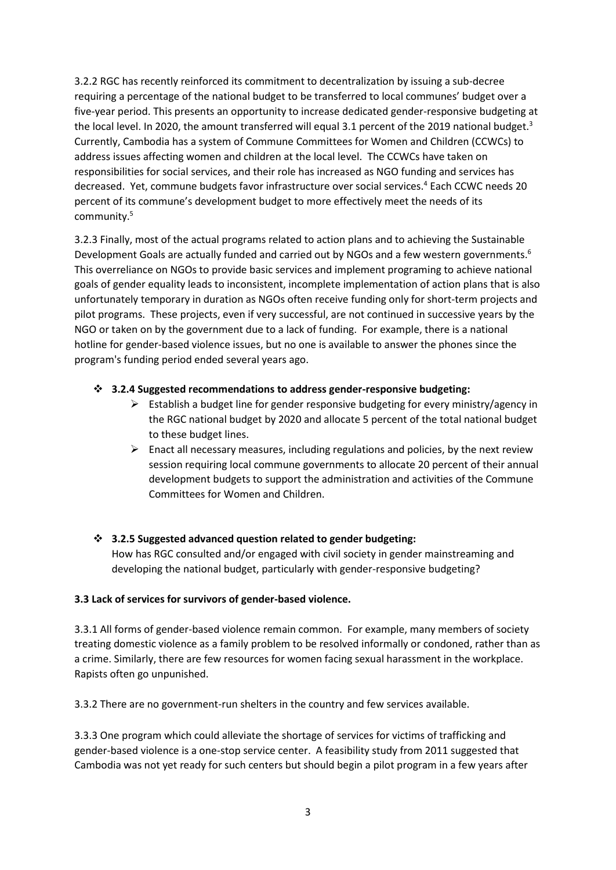3.2.2 RGC has recently reinforced its commitment to decentralization by issuing a sub-decree requiring a percentage of the national budget to be transferred to local communes' budget over a five-year period. This presents an opportunity to increase dedicated gender-responsive budgeting at the local level. In 2020, the amount transferred will equal 3.1 percent of the 2019 national budget.<sup>3</sup> Currently, Cambodia has a system of Commune Committees for Women and Children (CCWCs) to address issues affecting women and children at the local level. The CCWCs have taken on responsibilities for social services, and their role has increased as NGO funding and services has decreased. Yet, commune budgets favor infrastructure over social services.<sup>4</sup> Each CCWC needs 20 percent of its commune's development budget to more effectively meet the needs of its community.<sup>5</sup>

3.2.3 Finally, most of the actual programs related to action plans and to achieving the Sustainable Development Goals are actually funded and carried out by NGOs and a few western governments.<sup>6</sup> This overreliance on NGOs to provide basic services and implement programing to achieve national goals of gender equality leads to inconsistent, incomplete implementation of action plans that is also unfortunately temporary in duration as NGOs often receive funding only for short-term projects and pilot programs. These projects, even if very successful, are not continued in successive years by the NGO or taken on by the government due to a lack of funding. For example, there is a national hotline for gender-based violence issues, but no one is available to answer the phones since the program's funding period ended several years ago.

#### **3.2.4 Suggested recommendations to address gender-responsive budgeting:**

- $\triangleright$  Establish a budget line for gender responsive budgeting for every ministry/agency in the RGC national budget by 2020 and allocate 5 percent of the total national budget to these budget lines.
- $\triangleright$  Enact all necessary measures, including regulations and policies, by the next review session requiring local commune governments to allocate 20 percent of their annual development budgets to support the administration and activities of the Commune Committees for Women and Children.

#### **3.2.5 Suggested advanced question related to gender budgeting:**

How has RGC consulted and/or engaged with civil society in gender mainstreaming and developing the national budget, particularly with gender-responsive budgeting?

#### **3.3 Lack of services for survivors of gender-based violence.**

3.3.1 All forms of gender-based violence remain common. For example, many members of society treating domestic violence as a family problem to be resolved informally or condoned, rather than as a crime. Similarly, there are few resources for women facing sexual harassment in the workplace. Rapists often go unpunished.

3.3.2 There are no government-run shelters in the country and few services available.

3.3.3 One program which could alleviate the shortage of services for victims of trafficking and gender-based violence is a one-stop service center. A feasibility study from 2011 suggested that Cambodia was not yet ready for such centers but should begin a pilot program in a few years after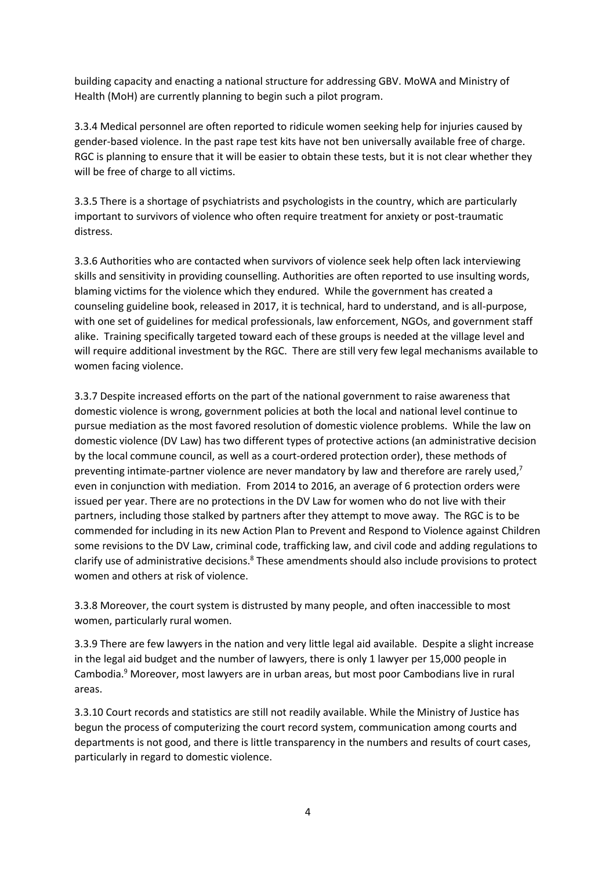building capacity and enacting a national structure for addressing GBV. MoWA and Ministry of Health (MoH) are currently planning to begin such a pilot program.

3.3.4 Medical personnel are often reported to ridicule women seeking help for injuries caused by gender-based violence. In the past rape test kits have not ben universally available free of charge. RGC is planning to ensure that it will be easier to obtain these tests, but it is not clear whether they will be free of charge to all victims.

3.3.5 There is a shortage of psychiatrists and psychologists in the country, which are particularly important to survivors of violence who often require treatment for anxiety or post-traumatic distress.

3.3.6 Authorities who are contacted when survivors of violence seek help often lack interviewing skills and sensitivity in providing counselling. Authorities are often reported to use insulting words, blaming victims for the violence which they endured. While the government has created a counseling guideline book, released in 2017, it is technical, hard to understand, and is all-purpose, with one set of guidelines for medical professionals, law enforcement, NGOs, and government staff alike. Training specifically targeted toward each of these groups is needed at the village level and will require additional investment by the RGC. There are still very few legal mechanisms available to women facing violence.

3.3.7 Despite increased efforts on the part of the national government to raise awareness that domestic violence is wrong, government policies at both the local and national level continue to pursue mediation as the most favored resolution of domestic violence problems. While the law on domestic violence (DV Law) has two different types of protective actions (an administrative decision by the local commune council, as well as a court-ordered protection order), these methods of preventing intimate-partner violence are never mandatory by law and therefore are rarely used, $7$ even in conjunction with mediation. From 2014 to 2016, an average of 6 protection orders were issued per year. There are no protections in the DV Law for women who do not live with their partners, including those stalked by partners after they attempt to move away. The RGC is to be commended for including in its new Action Plan to Prevent and Respond to Violence against Children some revisions to the DV Law, criminal code, trafficking law, and civil code and adding regulations to clarify use of administrative decisions.<sup>8</sup> These amendments should also include provisions to protect women and others at risk of violence.

3.3.8 Moreover, the court system is distrusted by many people, and often inaccessible to most women, particularly rural women.

3.3.9 There are few lawyers in the nation and very little legal aid available. Despite a slight increase in the legal aid budget and the number of lawyers, there is only 1 lawyer per 15,000 people in Cambodia. <sup>9</sup> Moreover, most lawyers are in urban areas, but most poor Cambodians live in rural areas.

3.3.10 Court records and statistics are still not readily available. While the Ministry of Justice has begun the process of computerizing the court record system, communication among courts and departments is not good, and there is little transparency in the numbers and results of court cases, particularly in regard to domestic violence.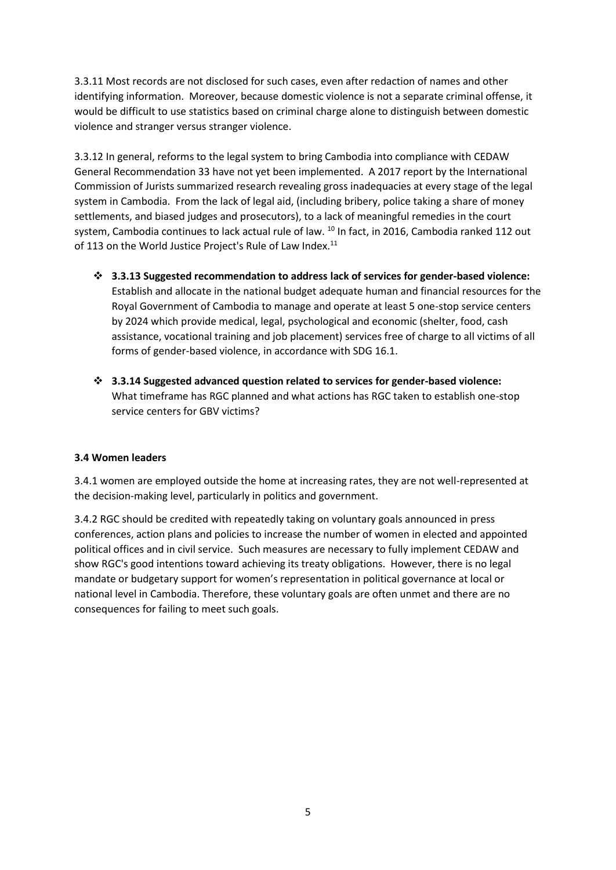3.3.11 Most records are not disclosed for such cases, even after redaction of names and other identifying information. Moreover, because domestic violence is not a separate criminal offense, it would be difficult to use statistics based on criminal charge alone to distinguish between domestic violence and stranger versus stranger violence.

3.3.12 In general, reforms to the legal system to bring Cambodia into compliance with CEDAW General Recommendation 33 have not yet been implemented. A 2017 report by the International Commission of Jurists summarized research revealing gross inadequacies at every stage of the legal system in Cambodia. From the lack of legal aid, (including bribery, police taking a share of money settlements, and biased judges and prosecutors), to a lack of meaningful remedies in the court system, Cambodia continues to lack actual rule of law. <sup>10</sup> In fact, in 2016, Cambodia ranked 112 out of 113 on the World Justice Project's Rule of Law Index.<sup>11</sup>

- **3.3.13 Suggested recommendation to address lack of services for gender-based violence:** Establish and allocate in the national budget adequate human and financial resources for the Royal Government of Cambodia to manage and operate at least 5 one-stop service centers by 2024 which provide medical, legal, psychological and economic (shelter, food, cash assistance, vocational training and job placement) services free of charge to all victims of all forms of gender-based violence, in accordance with SDG 16.1.
- **3.3.14 Suggested advanced question related to services for gender-based violence:** What timeframe has RGC planned and what actions has RGC taken to establish one-stop service centers for GBV victims?

#### **3.4 Women leaders**

3.4.1 women are employed outside the home at increasing rates, they are not well-represented at the decision-making level, particularly in politics and government.

3.4.2 RGC should be credited with repeatedly taking on voluntary goals announced in press conferences, action plans and policies to increase the number of women in elected and appointed political offices and in civil service. Such measures are necessary to fully implement CEDAW and show RGC's good intentions toward achieving its treaty obligations. However, there is no legal mandate or budgetary support for women's representation in political governance at local or national level in Cambodia. Therefore, these voluntary goals are often unmet and there are no consequences for failing to meet such goals.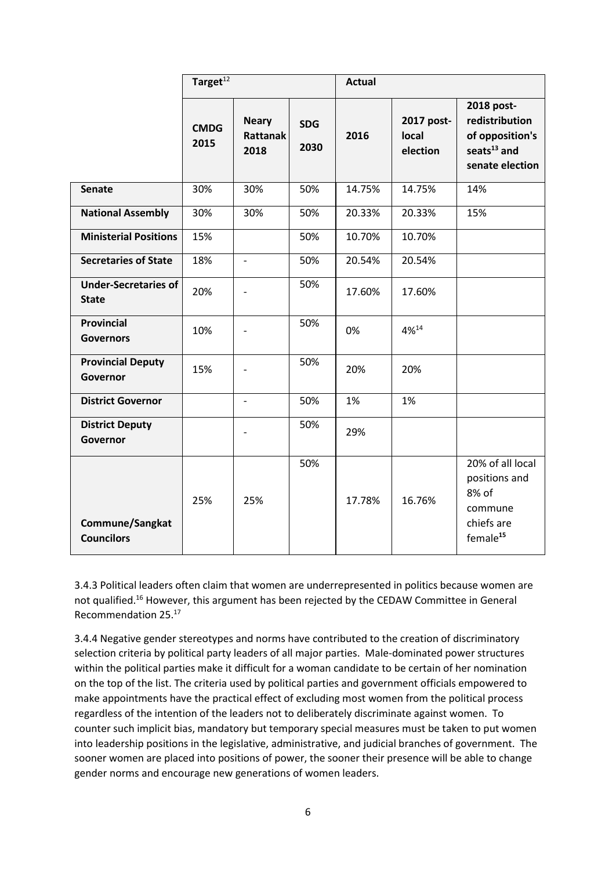|                                             | Target $\overline{^{12}}$ |                                         |                    | <b>Actual</b> |                                 |                                                                                             |
|---------------------------------------------|---------------------------|-----------------------------------------|--------------------|---------------|---------------------------------|---------------------------------------------------------------------------------------------|
|                                             | <b>CMDG</b><br>2015       | <b>Neary</b><br><b>Rattanak</b><br>2018 | <b>SDG</b><br>2030 | 2016          | 2017 post-<br>local<br>election | 2018 post-<br>redistribution<br>of opposition's<br>seats $^{13}$ and<br>senate election     |
| <b>Senate</b>                               | 30%                       | 30%                                     | 50%                | 14.75%        | 14.75%                          | 14%                                                                                         |
| <b>National Assembly</b>                    | 30%                       | 30%                                     | 50%                | 20.33%        | 20.33%                          | 15%                                                                                         |
| <b>Ministerial Positions</b>                | 15%                       |                                         | 50%                | 10.70%        | 10.70%                          |                                                                                             |
| <b>Secretaries of State</b>                 | 18%                       | $\overline{\phantom{a}}$                | 50%                | 20.54%        | 20.54%                          |                                                                                             |
| <b>Under-Secretaries of</b><br><b>State</b> | 20%                       |                                         | 50%                | 17.60%        | 17.60%                          |                                                                                             |
| <b>Provincial</b><br><b>Governors</b>       | 10%                       |                                         | 50%                | 0%            | $4\%^{14}$                      |                                                                                             |
| <b>Provincial Deputy</b><br>Governor        | 15%                       |                                         | 50%                | 20%           | 20%                             |                                                                                             |
| <b>District Governor</b>                    |                           |                                         | 50%                | 1%            | 1%                              |                                                                                             |
| <b>District Deputy</b><br>Governor          |                           |                                         | 50%                | 29%           |                                 |                                                                                             |
| Commune/Sangkat<br><b>Councilors</b>        | 25%                       | 25%                                     | 50%                | 17.78%        | 16.76%                          | 20% of all local<br>positions and<br>8% of<br>commune<br>chiefs are<br>female <sup>15</sup> |

3.4.3 Political leaders often claim that women are underrepresented in politics because women are not qualified.<sup>16</sup> However, this argument has been rejected by the CEDAW Committee in General Recommendation 25.<sup>17</sup>

3.4.4 Negative gender stereotypes and norms have contributed to the creation of discriminatory selection criteria by political party leaders of all major parties. Male-dominated power structures within the political parties make it difficult for a woman candidate to be certain of her nomination on the top of the list. The criteria used by political parties and government officials empowered to make appointments have the practical effect of excluding most women from the political process regardless of the intention of the leaders not to deliberately discriminate against women. To counter such implicit bias, mandatory but temporary special measures must be taken to put women into leadership positions in the legislative, administrative, and judicial branches of government. The sooner women are placed into positions of power, the sooner their presence will be able to change gender norms and encourage new generations of women leaders.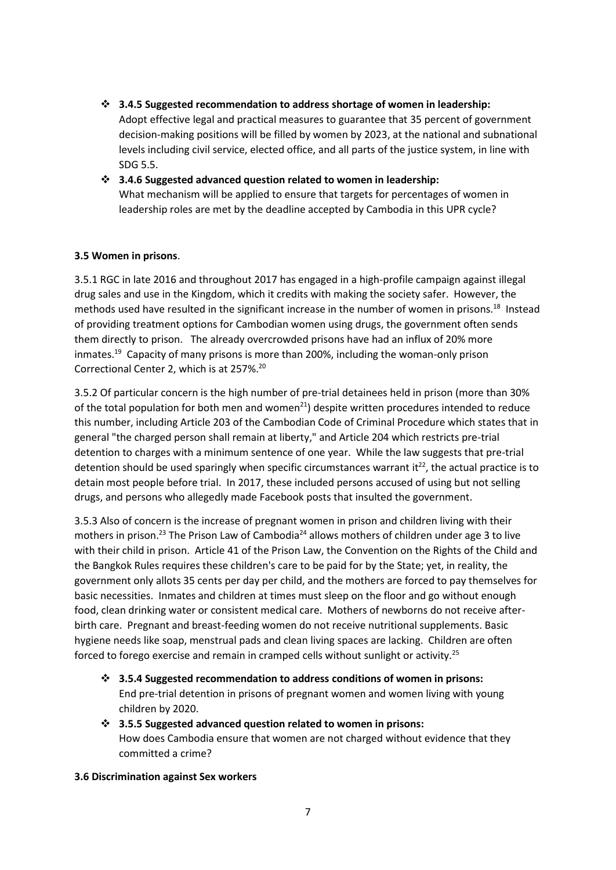- **3.4.5 Suggested recommendation to address shortage of women in leadership:** Adopt effective legal and practical measures to guarantee that 35 percent of government decision-making positions will be filled by women by 2023, at the national and subnational levels including civil service, elected office, and all parts of the justice system, in line with SDG 5.5.
- **3.4.6 Suggested advanced question related to women in leadership:** What mechanism will be applied to ensure that targets for percentages of women in leadership roles are met by the deadline accepted by Cambodia in this UPR cycle?

#### **3.5 Women in prisons**.

3.5.1 RGC in late 2016 and throughout 2017 has engaged in a high-profile campaign against illegal drug sales and use in the Kingdom, which it credits with making the society safer. However, the methods used have resulted in the significant increase in the number of women in prisons.<sup>18</sup> Instead of providing treatment options for Cambodian women using drugs, the government often sends them directly to prison. The already overcrowded prisons have had an influx of 20% more inmates.<sup>19</sup> Capacity of many prisons is more than 200%, including the woman-only prison Correctional Center 2, which is at 257%. 20

3.5.2 Of particular concern is the high number of pre-trial detainees held in prison (more than 30% of the total population for both men and women<sup>21</sup>) despite written procedures intended to reduce this number, including Article 203 of the Cambodian Code of Criminal Procedure which states that in general "the charged person shall remain at liberty," and Article 204 which restricts pre-trial detention to charges with a minimum sentence of one year. While the law suggests that pre-trial detention should be used sparingly when specific circumstances warrant it<sup>22</sup>, the actual practice is to detain most people before trial. In 2017, these included persons accused of using but not selling drugs, and persons who allegedly made Facebook posts that insulted the government.

3.5.3 Also of concern is the increase of pregnant women in prison and children living with their mothers in prison.<sup>23</sup> The Prison Law of Cambodia<sup>24</sup> allows mothers of children under age 3 to live with their child in prison. Article 41 of the Prison Law, the Convention on the Rights of the Child and the Bangkok Rules requires these children's care to be paid for by the State; yet, in reality, the government only allots 35 cents per day per child, and the mothers are forced to pay themselves for basic necessities. Inmates and children at times must sleep on the floor and go without enough food, clean drinking water or consistent medical care. Mothers of newborns do not receive afterbirth care. Pregnant and breast-feeding women do not receive nutritional supplements. Basic hygiene needs like soap, menstrual pads and clean living spaces are lacking. Children are often forced to forego exercise and remain in cramped cells without sunlight or activity.<sup>25</sup>

- **3.5.4 Suggested recommendation to address conditions of women in prisons:**  End pre-trial detention in prisons of pregnant women and women living with young children by 2020.
- **3.5.5 Suggested advanced question related to women in prisons:**  How does Cambodia ensure that women are not charged without evidence that they committed a crime?

#### **3.6 Discrimination against Sex workers**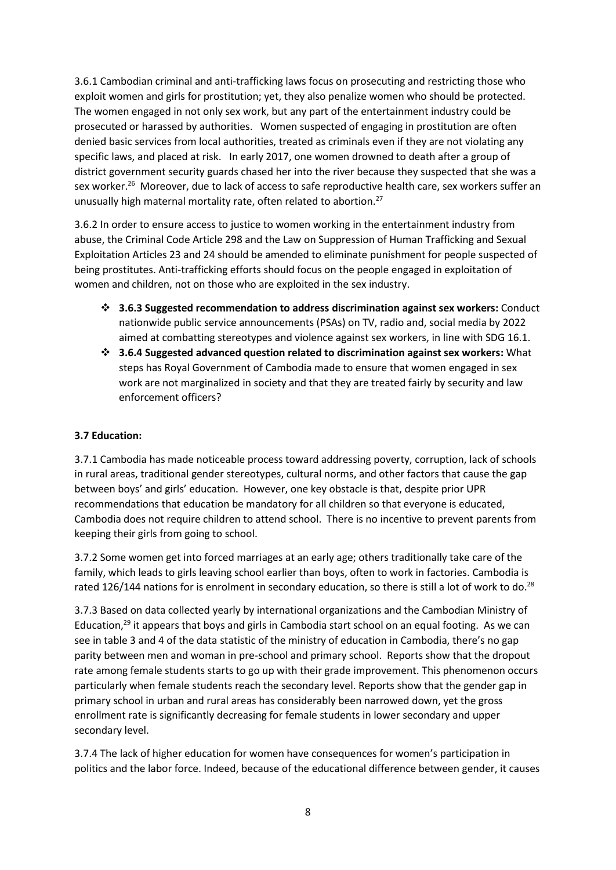3.6.1 Cambodian criminal and anti-trafficking laws focus on prosecuting and restricting those who exploit women and girls for prostitution; yet, they also penalize women who should be protected. The women engaged in not only sex work, but any part of the entertainment industry could be prosecuted or harassed by authorities. Women suspected of engaging in prostitution are often denied basic services from local authorities, treated as criminals even if they are not violating any specific laws, and placed at risk. In early 2017, one women drowned to death after a group of district government security guards chased her into the river because they suspected that she was a sex worker.<sup>26</sup> Moreover, due to lack of access to safe reproductive health care, sex workers suffer an unusually high maternal mortality rate, often related to abortion.<sup>27</sup>

3.6.2 In order to ensure access to justice to women working in the entertainment industry from abuse, the Criminal Code Article 298 and the Law on Suppression of Human Trafficking and Sexual Exploitation Articles 23 and 24 should be amended to eliminate punishment for people suspected of being prostitutes. Anti-trafficking efforts should focus on the people engaged in exploitation of women and children, not on those who are exploited in the sex industry.

- **3.6.3 Suggested recommendation to address discrimination against sex workers:** Conduct nationwide public service announcements (PSAs) on TV, radio and, social media by 2022 aimed at combatting stereotypes and violence against sex workers, in line with SDG 16.1.
- **3.6.4 Suggested advanced question related to discrimination against sex workers:** What steps has Royal Government of Cambodia made to ensure that women engaged in sex work are not marginalized in society and that they are treated fairly by security and law enforcement officers?

#### **3.7 Education:**

3.7.1 Cambodia has made noticeable process toward addressing poverty, corruption, lack of schools in rural areas, traditional gender stereotypes, cultural norms, and other factors that cause the gap between boys' and girls' education. However, one key obstacle is that, despite prior UPR recommendations that education be mandatory for all children so that everyone is educated, Cambodia does not require children to attend school. There is no incentive to prevent parents from keeping their girls from going to school.

3.7.2 Some women get into forced marriages at an early age; others traditionally take care of the family, which leads to girls leaving school earlier than boys, often to work in factories. Cambodia is rated 126/144 nations for is enrolment in secondary education, so there is still a lot of work to do.<sup>28</sup>

3.7.3 Based on data collected yearly by international organizations and the Cambodian Ministry of Education,<sup>29</sup> it appears that boys and girls in Cambodia start school on an equal footing. As we can see in table 3 and 4 of the data statistic of the ministry of education in Cambodia, there's no gap parity between men and woman in pre-school and primary school. Reports show that the dropout rate among female students starts to go up with their grade improvement. This phenomenon occurs particularly when female students reach the secondary level. Reports show that the gender gap in primary school in urban and rural areas has considerably been narrowed down, yet the gross enrollment rate is significantly decreasing for female students in lower secondary and upper secondary level.

3.7.4 The lack of higher education for women have consequences for women's participation in politics and the labor force. Indeed, because of the educational difference between gender, it causes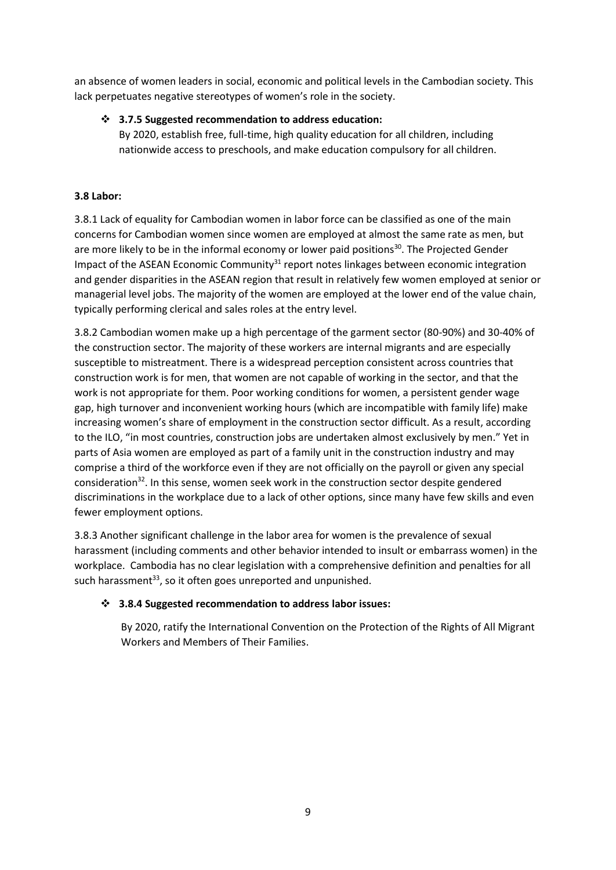an absence of women leaders in social, economic and political levels in the Cambodian society. This lack perpetuates negative stereotypes of women's role in the society.

#### **3.7.5 Suggested recommendation to address education:**

By 2020, establish free, full-time, high quality education for all children, including nationwide access to preschools, and make education compulsory for all children.

#### **3.8 Labor:**

3.8.1 Lack of equality for Cambodian women in labor force can be classified as one of the main concerns for Cambodian women since women are employed at almost the same rate as men, but are more likely to be in the informal economy or lower paid positions<sup>30</sup>. The Projected Gender Impact of the ASEAN Economic Community $31$  report notes linkages between economic integration and gender disparities in the ASEAN region that result in relatively few women employed at senior or managerial level jobs. The majority of the women are employed at the lower end of the value chain, typically performing clerical and sales roles at the entry level.

3.8.2 Cambodian women make up a high percentage of the garment sector (80-90%) and 30-40% of the construction sector. The majority of these workers are internal migrants and are especially susceptible to mistreatment. There is a widespread perception consistent across countries that construction work is for men, that women are not capable of working in the sector, and that the work is not appropriate for them. Poor working conditions for women, a persistent gender wage gap, high turnover and inconvenient working hours (which are incompatible with family life) make increasing women's share of employment in the construction sector difficult. As a result, according to the ILO, "in most countries, construction jobs are undertaken almost exclusively by men." Yet in parts of Asia women are employed as part of a family unit in the construction industry and may comprise a third of the workforce even if they are not officially on the payroll or given any special consideration<sup>32</sup>. In this sense, women seek work in the construction sector despite gendered discriminations in the workplace due to a lack of other options, since many have few skills and even fewer employment options.

3.8.3 Another significant challenge in the labor area for women is the prevalence of sexual harassment (including comments and other behavior intended to insult or embarrass women) in the workplace. Cambodia has no clear legislation with a comprehensive definition and penalties for all such harassment<sup>33</sup>, so it often goes unreported and unpunished.

#### **3.8.4 Suggested recommendation to address labor issues:**

By 2020, ratify the International Convention on the Protection of the Rights of All Migrant Workers and Members of Their Families.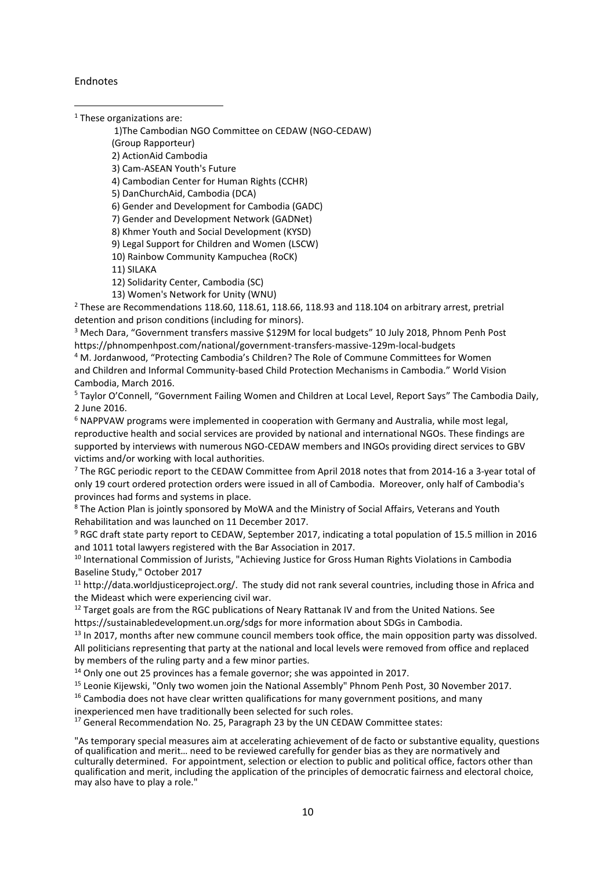Endnotes

-

<sup>1</sup> These organizations are:

1)The Cambodian NGO Committee on CEDAW (NGO-CEDAW)

(Group Rapporteur)

2) ActionAid Cambodia

3) Cam-ASEAN Youth's Future

4) Cambodian Center for Human Rights (CCHR)

5) DanChurchAid, Cambodia (DCA)

6) Gender and Development for Cambodia (GADC)

7) Gender and Development Network (GADNet)

8) Khmer Youth and Social Development (KYSD)

9) Legal Support for Children and Women (LSCW)

10) Rainbow Community Kampuchea (RoCK)

11) SILAKA

12) Solidarity Center, Cambodia (SC)

13) Women's Network for Unity (WNU)

 $2$  These are Recommendations 118.60, 118.61, 118.66, 118.93 and 118.104 on arbitrary arrest, pretrial detention and prison conditions (including for minors).

<sup>3</sup> Mech Dara, "Government transfers massive \$129M for local budgets" 10 July 2018, Phnom Penh Post https://phnompenhpost.com/national/government-transfers-massive-129m-local-budgets

<sup>4</sup> M. Jordanwood, "Protecting Cambodia's Children? The Role of Commune Committees for Women and Children and Informal Community-based Child Protection Mechanisms in Cambodia." World Vision Cambodia, March 2016.

<sup>5</sup> Taylor O'Connell, "Government Failing Women and Children at Local Level, Report Says" The Cambodia Daily, 2 June 2016.

<sup>6</sup> NAPPVAW programs were implemented in cooperation with Germany and Australia, while most legal, reproductive health and social services are provided by national and international NGOs. These findings are supported by interviews with numerous NGO-CEDAW members and INGOs providing direct services to GBV victims and/or working with local authorities.

<sup>7</sup> The RGC periodic report to the CEDAW Committee from April 2018 notes that from 2014-16 a 3-year total of only 19 court ordered protection orders were issued in all of Cambodia. Moreover, only half of Cambodia's provinces had forms and systems in place.

<sup>8</sup> The Action Plan is jointly sponsored by MoWA and the Ministry of Social Affairs, Veterans and Youth Rehabilitation and was launched on 11 December 2017.

<sup>9</sup> RGC draft state party report to CEDAW, September 2017, indicating a total population of 15.5 million in 2016 and 1011 total lawyers registered with the Bar Association in 2017.

<sup>10</sup> International Commission of Jurists, "Achieving Justice for Gross Human Rights Violations in Cambodia Baseline Study," October 2017

<sup>11</sup> http://data.worldjusticeproject.org/. The study did not rank several countries, including those in Africa and the Mideast which were experiencing civil war.

<sup>12</sup> Target goals are from the RGC publications of Neary Rattanak IV and from the United Nations. See https://sustainabledevelopment.un.org/sdgs for more information about SDGs in Cambodia.

 $13$  In 2017, months after new commune council members took office, the main opposition party was dissolved. All politicians representing that party at the national and local levels were removed from office and replaced by members of the ruling party and a few minor parties.

<sup>14</sup> Only one out 25 provinces has a female governor; she was appointed in 2017.

<sup>15</sup> Leonie Kijewski, "Only two women join the National Assembly" Phnom Penh Post, 30 November 2017.

 $16$  Cambodia does not have clear written qualifications for many government positions, and many

inexperienced men have traditionally been selected for such roles.

<sup>17</sup> General Recommendation No. 25, Paragraph 23 by the UN CEDAW Committee states:

"As temporary special measures aim at accelerating achievement of de facto or substantive equality, questions of qualification and merit… need to be reviewed carefully for gender bias as they are normatively and culturally determined. For appointment, selection or election to public and political office, factors other than qualification and merit, including the application of the principles of democratic fairness and electoral choice, may also have to play a role."